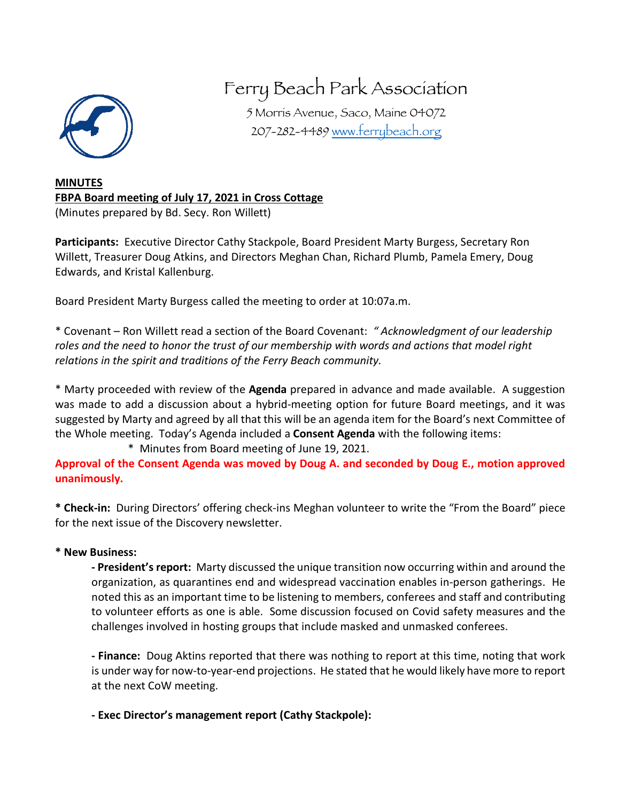

## Ferry Beach Park Association

5 Morris Avenue, Saco, Maine 04072 207-282-4489 www.ferrybeach.org

## **MINUTES FBPA Board meeting of July 17, 2021 in Cross Cottage** (Minutes prepared by Bd. Secy. Ron Willett)

**Participants:** Executive Director Cathy Stackpole, Board President Marty Burgess, Secretary Ron Willett, Treasurer Doug Atkins, and Directors Meghan Chan, Richard Plumb, Pamela Emery, Doug Edwards, and Kristal Kallenburg.

Board President Marty Burgess called the meeting to order at 10:07a.m.

\* Covenant – Ron Willett read a section of the Board Covenant: *" Acknowledgment of our leadership roles and the need to honor the trust of our membership with words and actions that model right relations in the spirit and traditions of the Ferry Beach community.* 

\* Marty proceeded with review of the **Agenda** prepared in advance and made available. A suggestion was made to add a discussion about a hybrid-meeting option for future Board meetings, and it was suggested by Marty and agreed by all that this will be an agenda item for the Board's next Committee of the Whole meeting. Today's Agenda included a **Consent Agenda** with the following items:

\* Minutes from Board meeting of June 19, 2021.

**Approval of the Consent Agenda was moved by Doug A. and seconded by Doug E., motion approved unanimously.**

**\* Check-in:** During Directors' offering check-ins Meghan volunteer to write the "From the Board" piece for the next issue of the Discovery newsletter.

## **\* New Business:**

**- President's report:** Marty discussed the unique transition now occurring within and around the organization, as quarantines end and widespread vaccination enables in-person gatherings. He noted this as an important time to be listening to members, conferees and staff and contributing to volunteer efforts as one is able. Some discussion focused on Covid safety measures and the challenges involved in hosting groups that include masked and unmasked conferees.

**- Finance:** Doug Aktins reported that there was nothing to report at this time, noting that work is under way for now-to-year-end projections. He stated that he would likely have more to report at the next CoW meeting.

**- Exec Director's management report (Cathy Stackpole):**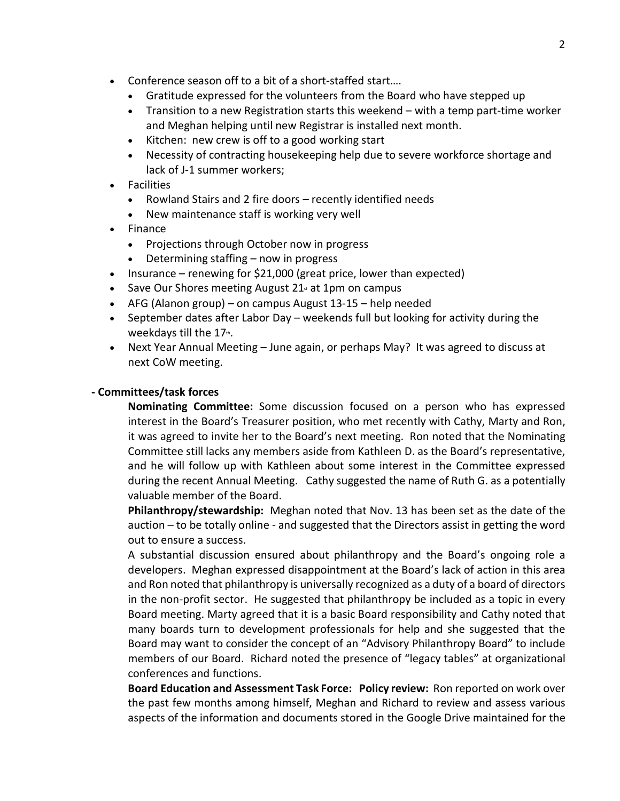- Conference season off to a bit of a short-staffed start….
	- Gratitude expressed for the volunteers from the Board who have stepped up
	- Transition to a new Registration starts this weekend with a temp part-time worker and Meghan helping until new Registrar is installed next month.
	- Kitchen: new crew is off to a good working start
	- Necessity of contracting housekeeping help due to severe workforce shortage and lack of J-1 summer workers;
- Facilities
	- Rowland Stairs and 2 fire doors recently identified needs
	- New maintenance staff is working very well
- Finance
	- Projections through October now in progress
	- Determining staffing now in progress
- Insurance renewing for \$21,000 (great price, lower than expected)
- Save Our Shores meeting August 21 $<sub>x</sub>$  at 1pm on campus</sub>
- AFG (Alanon group) on campus August 13-15 help needed
- September dates after Labor Day weekends full but looking for activity during the weekdays till the  $17<sup>th</sup>$ .
- Next Year Annual Meeting June again, or perhaps May? It was agreed to discuss at next CoW meeting.

## **- Committees/task forces**

**Nominating Committee:** Some discussion focused on a person who has expressed interest in the Board's Treasurer position, who met recently with Cathy, Marty and Ron, it was agreed to invite her to the Board's next meeting. Ron noted that the Nominating Committee still lacks any members aside from Kathleen D. as the Board's representative, and he will follow up with Kathleen about some interest in the Committee expressed during the recent Annual Meeting. Cathy suggested the name of Ruth G. as a potentially valuable member of the Board.

**Philanthropy/stewardship:** Meghan noted that Nov. 13 has been set as the date of the auction – to be totally online - and suggested that the Directors assist in getting the word out to ensure a success.

A substantial discussion ensured about philanthropy and the Board's ongoing role a developers. Meghan expressed disappointment at the Board's lack of action in this area and Ron noted that philanthropy is universally recognized as a duty of a board of directors in the non-profit sector. He suggested that philanthropy be included as a topic in every Board meeting. Marty agreed that it is a basic Board responsibility and Cathy noted that many boards turn to development professionals for help and she suggested that the Board may want to consider the concept of an "Advisory Philanthropy Board" to include members of our Board. Richard noted the presence of "legacy tables" at organizational conferences and functions.

**Board Education and Assessment Task Force: Policy review:** Ron reported on work over the past few months among himself, Meghan and Richard to review and assess various aspects of the information and documents stored in the Google Drive maintained for the